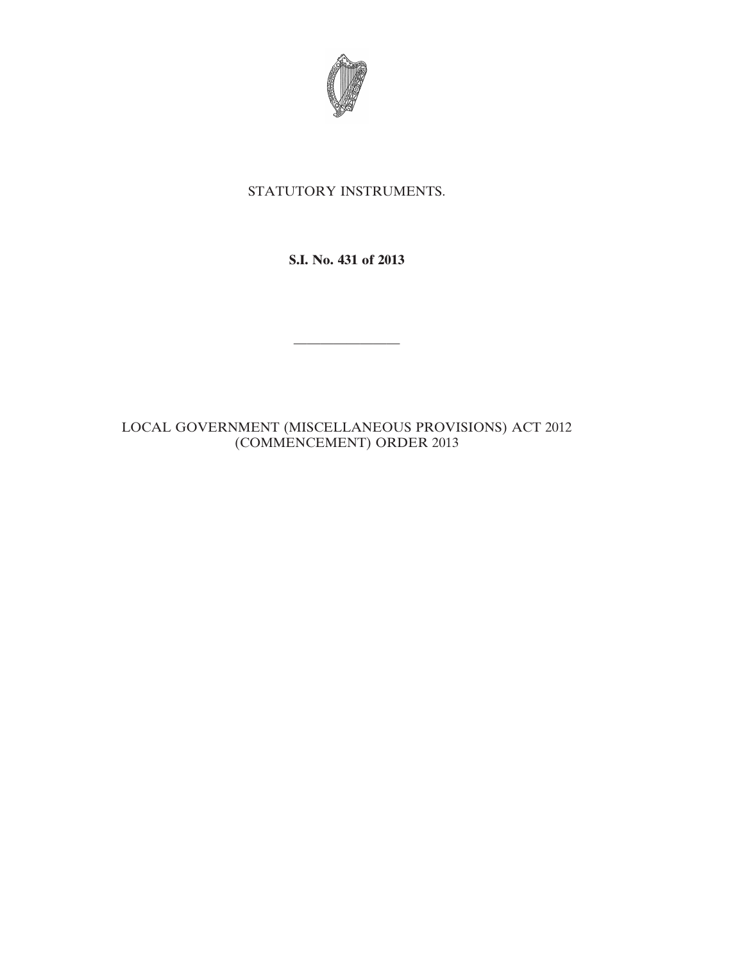

# STATUTORY INSTRUMENTS.

## **S.I. No. 431 of 2013**

————————

### LOCAL GOVERNMENT (MISCELLANEOUS PROVISIONS) ACT 2012 (COMMENCEMENT) ORDER 2013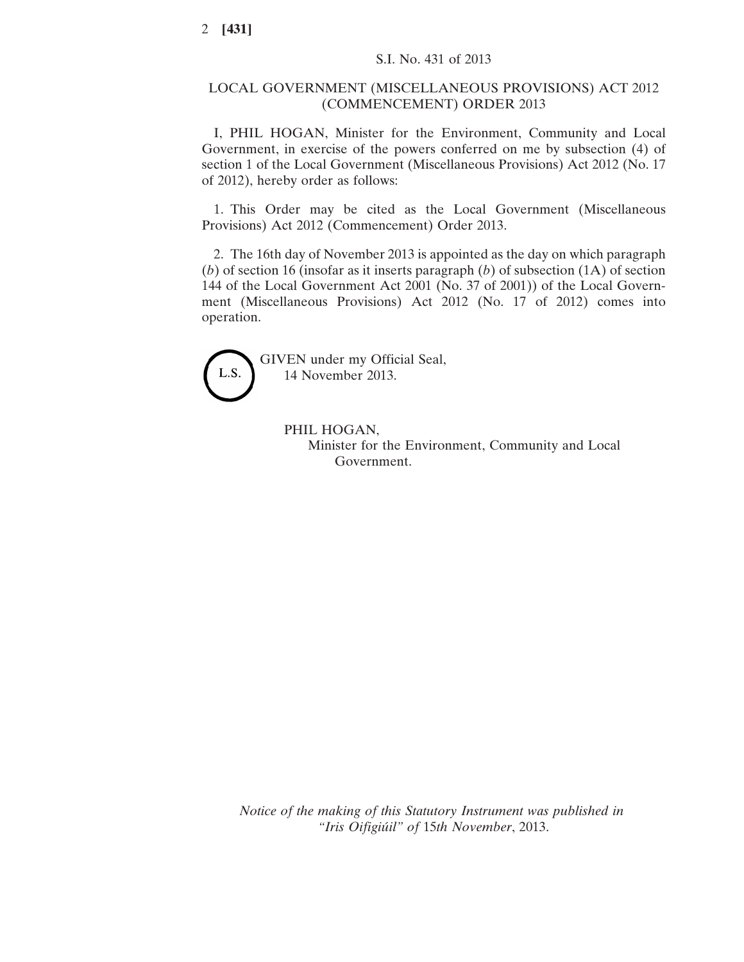#### LOCAL GOVERNMENT (MISCELLANEOUS PROVISIONS) ACT 2012 (COMMENCEMENT) ORDER 2013

I, PHIL HOGAN, Minister for the Environment, Community and Local Government, in exercise of the powers conferred on me by subsection (4) of section 1 of the Local Government (Miscellaneous Provisions) Act 2012 (No. 17 of 2012), hereby order as follows:

1. This Order may be cited as the Local Government (Miscellaneous Provisions) Act 2012 (Commencement) Order 2013.

2. The 16th day of November 2013 is appointed as the day on which paragraph (*b*) of section 16 (insofar as it inserts paragraph (*b*) of subsection (1A) of section 144 of the Local Government Act 2001 (No. 37 of 2001)) of the Local Government (Miscellaneous Provisions) Act 2012 (No. 17 of 2012) comes into operation.



GIVEN under my Official Seal, 14 November 2013.

> PHIL HOGAN, Minister for the Environment, Community and Local Government.

*Notice of the making of this Statutory Instrument was published in "Iris Oifigiúil" of* 15*th November*, 2013.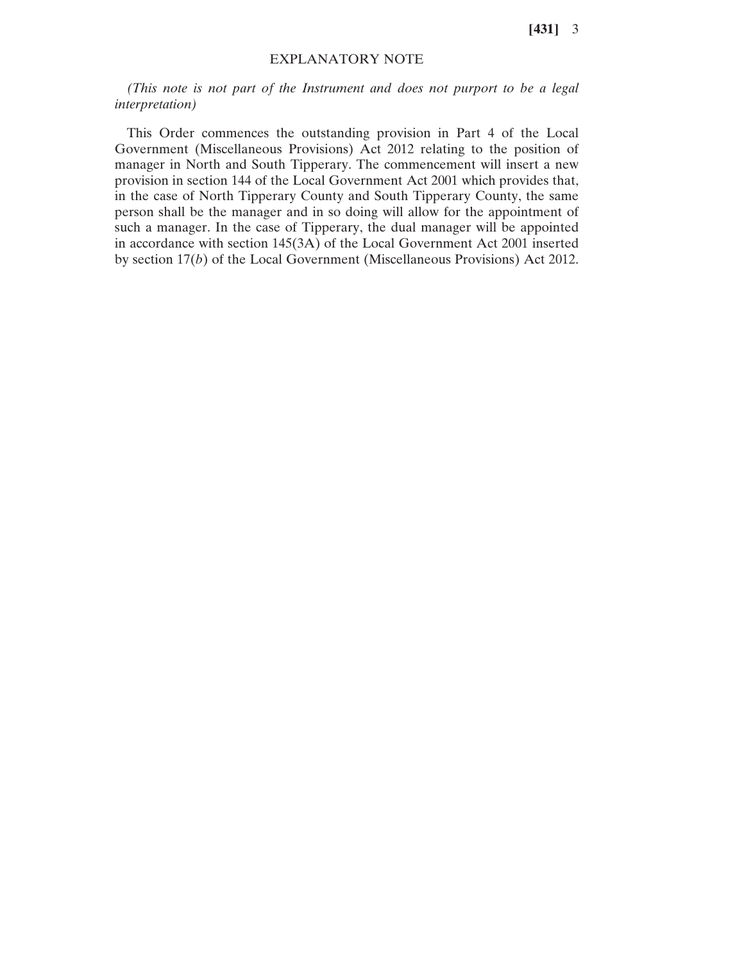**[431]** 3

#### EXPLANATORY NOTE

*(This note is not part of the Instrument and does not purport to be a legal interpretation)*

This Order commences the outstanding provision in Part 4 of the Local Government (Miscellaneous Provisions) Act 2012 relating to the position of manager in North and South Tipperary. The commencement will insert a new provision in section 144 of the Local Government Act 2001 which provides that, in the case of North Tipperary County and South Tipperary County, the same person shall be the manager and in so doing will allow for the appointment of such a manager. In the case of Tipperary, the dual manager will be appointed in accordance with section 145(3A) of the Local Government Act 2001 inserted by section 17(*b*) of the Local Government (Miscellaneous Provisions) Act 2012.